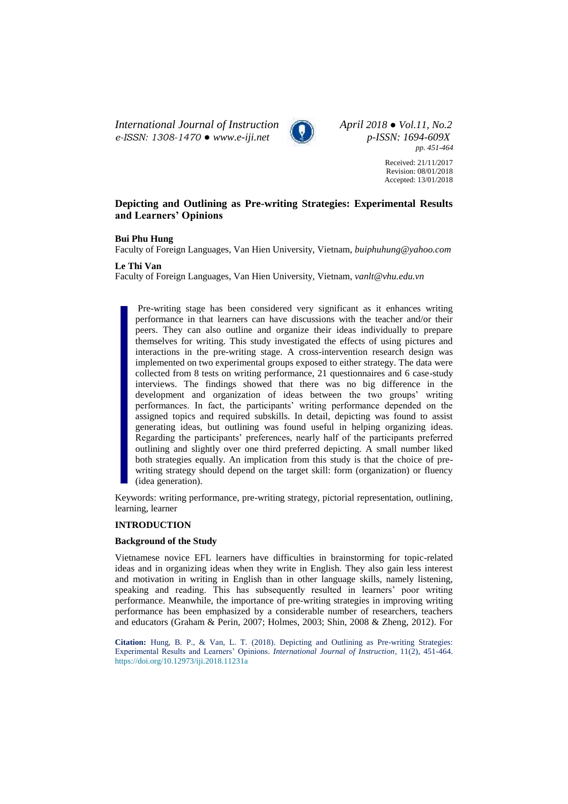*International Journal of Instruction April 2018 ● Vol.11, No.2 e-ISSN: 1308-1470 ● [www.e-iji.net](http://www.e-iji.net/) p-ISSN: 1694-609X*



*pp. 451-464*

Received: 21/11/2017 Revision: 08/01/2018 Accepted: 13/01/2018

# **Depicting and Outlining as Pre-writing Strategies: Experimental Results and Learners' Opinions**

## **Bui Phu Hung**

Faculty of Foreign Languages, Van Hien University, Vietnam, *buiphuhung@yahoo.com*

### **Le Thi Van**

Faculty of Foreign Languages, Van Hien University, Vietnam, *vanlt@vhu.edu.vn*

Pre-writing stage has been considered very significant as it enhances writing performance in that learners can have discussions with the teacher and/or their peers. They can also outline and organize their ideas individually to prepare themselves for writing. This study investigated the effects of using pictures and interactions in the pre-writing stage. A cross-intervention research design was implemented on two experimental groups exposed to either strategy. The data were collected from 8 tests on writing performance, 21 questionnaires and 6 case-study interviews. The findings showed that there was no big difference in the development and organization of ideas between the two groups' writing performances. In fact, the participants' writing performance depended on the assigned topics and required subskills. In detail, depicting was found to assist generating ideas, but outlining was found useful in helping organizing ideas. Regarding the participants' preferences, nearly half of the participants preferred outlining and slightly over one third preferred depicting. A small number liked both strategies equally. An implication from this study is that the choice of prewriting strategy should depend on the target skill: form (organization) or fluency (idea generation).

Keywords: writing performance, pre-writing strategy, pictorial representation, outlining, learning, learner

## **INTRODUCTION**

### **Background of the Study**

Vietnamese novice EFL learners have difficulties in brainstorming for topic-related ideas and in organizing ideas when they write in English. They also gain less interest and motivation in writing in English than in other language skills, namely listening, speaking and reading. This has subsequently resulted in learners' poor writing performance. Meanwhile, the importance of pre-writing strategies in improving writing performance has been emphasized by a considerable number of researchers, teachers and educators (Graham & Perin, 2007; Holmes, 2003; Shin, 2008 & Zheng, 2012). For

**Citation:** Hung, B. P., & Van, L. T. (2018). Depicting and Outlining as Pre-writing Strategies: Experimental Results and Learners' Opinions. *International Journal of Instruction*, 11(2), 451-464. <https://doi.org/10.12973/iji.2018.11231a>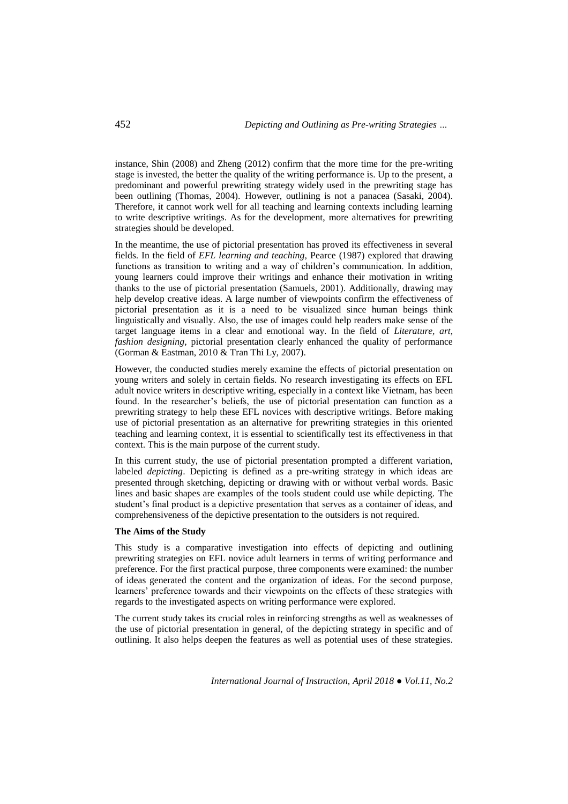instance, Shin (2008) and Zheng (2012) confirm that the more time for the pre-writing stage is invested, the better the quality of the writing performance is. Up to the present, a predominant and powerful prewriting strategy widely used in the prewriting stage has been outlining (Thomas, 2004). However, outlining is not a panacea (Sasaki, 2004). Therefore, it cannot work well for all teaching and learning contexts including learning to write descriptive writings. As for the development, more alternatives for prewriting strategies should be developed.

In the meantime, the use of pictorial presentation has proved its effectiveness in several fields. In the field of *EFL learning and teaching,* Pearce (1987) explored that drawing functions as transition to writing and a way of children's communication. In addition, young learners could improve their writings and enhance their motivation in writing thanks to the use of pictorial presentation (Samuels, 2001). Additionally, drawing may help develop creative ideas. A large number of viewpoints confirm the effectiveness of pictorial presentation as it is a need to be visualized since human beings think linguistically and visually. Also, the use of images could help readers make sense of the target language items in a clear and emotional way. In the field of *Literature, art, fashion designing*, pictorial presentation clearly enhanced the quality of performance (Gorman & Eastman, 2010 & Tran Thi Ly, 2007).

However, the conducted studies merely examine the effects of pictorial presentation on young writers and solely in certain fields. No research investigating its effects on EFL adult novice writers in descriptive writing, especially in a context like Vietnam, has been found. In the researcher's beliefs, the use of pictorial presentation can function as a prewriting strategy to help these EFL novices with descriptive writings. Before making use of pictorial presentation as an alternative for prewriting strategies in this oriented teaching and learning context, it is essential to scientifically test its effectiveness in that context. This is the main purpose of the current study.

In this current study, the use of pictorial presentation prompted a different variation, labeled *depicting*. Depicting is defined as a pre-writing strategy in which ideas are presented through sketching, depicting or drawing with or without verbal words. Basic lines and basic shapes are examples of the tools student could use while depicting. The student's final product is a depictive presentation that serves as a container of ideas, and comprehensiveness of the depictive presentation to the outsiders is not required.

### **The Aims of the Study**

This study is a comparative investigation into effects of depicting and outlining prewriting strategies on EFL novice adult learners in terms of writing performance and preference. For the first practical purpose, three components were examined: the number of ideas generated the content and the organization of ideas. For the second purpose, learners' preference towards and their viewpoints on the effects of these strategies with regards to the investigated aspects on writing performance were explored.

The current study takes its crucial roles in reinforcing strengths as well as weaknesses of the use of pictorial presentation in general, of the depicting strategy in specific and of outlining. It also helps deepen the features as well as potential uses of these strategies.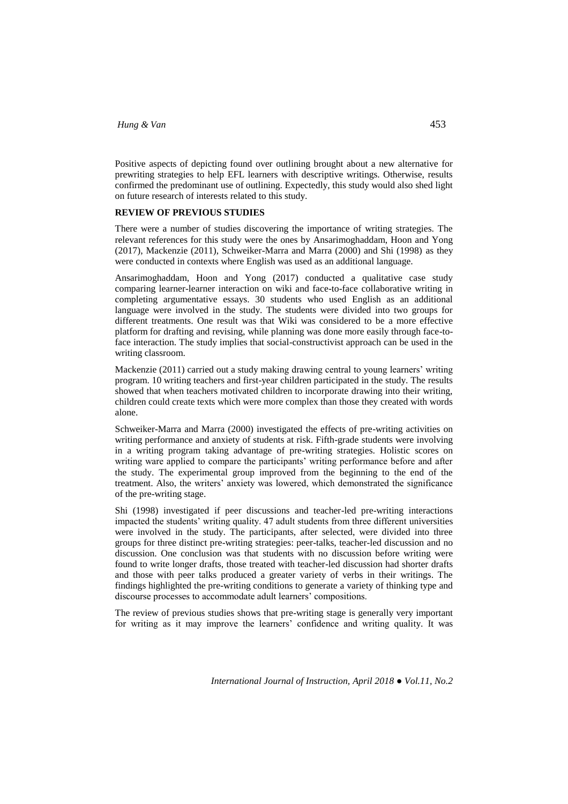Positive aspects of depicting found over outlining brought about a new alternative for prewriting strategies to help EFL learners with descriptive writings. Otherwise, results confirmed the predominant use of outlining. Expectedly, this study would also shed light on future research of interests related to this study.

## **REVIEW OF PREVIOUS STUDIES**

There were a number of studies discovering the importance of writing strategies. The relevant references for this study were the ones by Ansarimoghaddam, Hoon and Yong (2017), Mackenzie (2011), Schweiker-Marra and Marra (2000) and Shi (1998) as they were conducted in contexts where English was used as an additional language.

Ansarimoghaddam, Hoon and Yong (2017) conducted a qualitative case study comparing learner-learner interaction on wiki and face-to-face collaborative writing in completing argumentative essays. 30 students who used English as an additional language were involved in the study. The students were divided into two groups for different treatments. One result was that Wiki was considered to be a more effective platform for drafting and revising, while planning was done more easily through face-toface interaction. The study implies that social-constructivist approach can be used in the writing classroom.

Mackenzie (2011) carried out a study making drawing central to young learners' writing program. 10 writing teachers and first-year children participated in the study. The results showed that when teachers motivated children to incorporate drawing into their writing, children could create texts which were more complex than those they created with words alone.

Schweiker-Marra and Marra (2000) investigated the effects of pre-writing activities on writing performance and anxiety of students at risk. Fifth-grade students were involving in a writing program taking advantage of pre-writing strategies. Holistic scores on writing ware applied to compare the participants' writing performance before and after the study. The experimental group improved from the beginning to the end of the treatment. Also, the writers' anxiety was lowered, which demonstrated the significance of the pre-writing stage.

Shi (1998) investigated if peer discussions and teacher-led pre-writing interactions impacted the students' writing quality. 47 adult students from three different universities were involved in the study. The participants, after selected, were divided into three groups for three distinct pre-writing strategies: peer-talks, teacher-led discussion and no discussion. One conclusion was that students with no discussion before writing were found to write longer drafts, those treated with teacher-led discussion had shorter drafts and those with peer talks produced a greater variety of verbs in their writings. The findings highlighted the pre-writing conditions to generate a variety of thinking type and discourse processes to accommodate adult learners' compositions.

The review of previous studies shows that pre-writing stage is generally very important for writing as it may improve the learners' confidence and writing quality. It was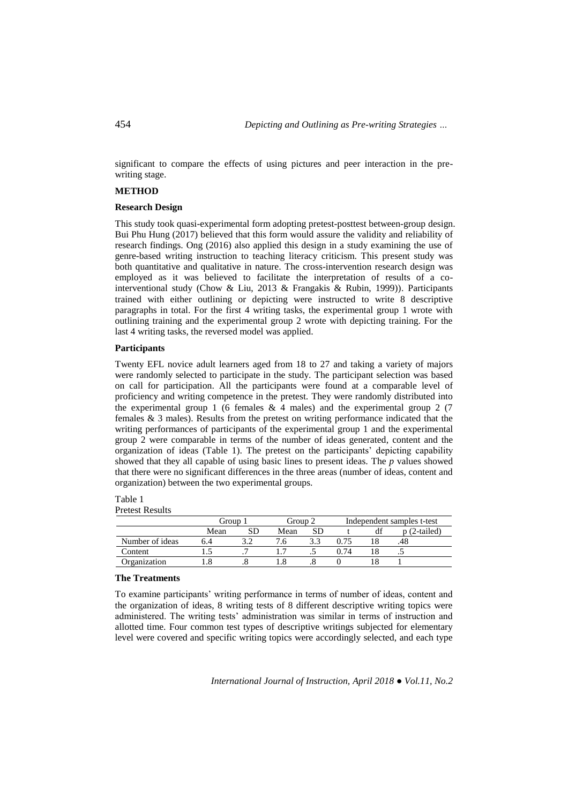significant to compare the effects of using pictures and peer interaction in the prewriting stage.

## **METHOD**

#### **Research Design**

This study took quasi-experimental form adopting pretest-posttest between-group design. Bui Phu Hung (2017) believed that this form would assure the validity and reliability of research findings. Ong (2016) also applied this design in a study examining the use of genre-based writing instruction to teaching literacy criticism. This present study was both quantitative and qualitative in nature. The cross-intervention research design was employed as it was believed to facilitate the interpretation of results of a cointerventional study (Chow & Liu, 2013 & Frangakis & Rubin, 1999)). Participants trained with either outlining or depicting were instructed to write 8 descriptive paragraphs in total. For the first 4 writing tasks, the experimental group 1 wrote with outlining training and the experimental group 2 wrote with depicting training. For the last 4 writing tasks, the reversed model was applied.

#### **Participants**

Twenty EFL novice adult learners aged from 18 to 27 and taking a variety of majors were randomly selected to participate in the study. The participant selection was based on call for participation. All the participants were found at a comparable level of proficiency and writing competence in the pretest. They were randomly distributed into the experimental group 1 (6 females  $& 4$  males) and the experimental group 2 (7 females & 3 males). Results from the pretest on writing performance indicated that the writing performances of participants of the experimental group 1 and the experimental group 2 were comparable in terms of the number of ideas generated, content and the organization of ideas (Table 1). The pretest on the participants' depicting capability showed that they all capable of using basic lines to present ideas. The *p* values showed that there were no significant differences in the three areas (number of ideas, content and organization) between the two experimental groups.

| Table 1                |  |
|------------------------|--|
| <b>Pretest Results</b> |  |

| .               | Group 1 |     | Group 2 |           | Independent samples t-test |    |                          |
|-----------------|---------|-----|---------|-----------|----------------------------|----|--------------------------|
|                 | Mean    |     | Mean    | SD        |                            | df | $p(2-tailed)$            |
| Number of ideas | 6.4     |     |         |           | 0.75                       |    |                          |
| Content         |         |     |         | $\ddotsc$ | 0.74                       |    | $\overline{\phantom{a}}$ |
| Organization    |         | . о |         |           |                            |    |                          |

#### **The Treatments**

To examine participants' writing performance in terms of number of ideas, content and the organization of ideas, 8 writing tests of 8 different descriptive writing topics were administered. The writing tests' administration was similar in terms of instruction and allotted time. Four common test types of descriptive writings subjected for elementary level were covered and specific writing topics were accordingly selected, and each type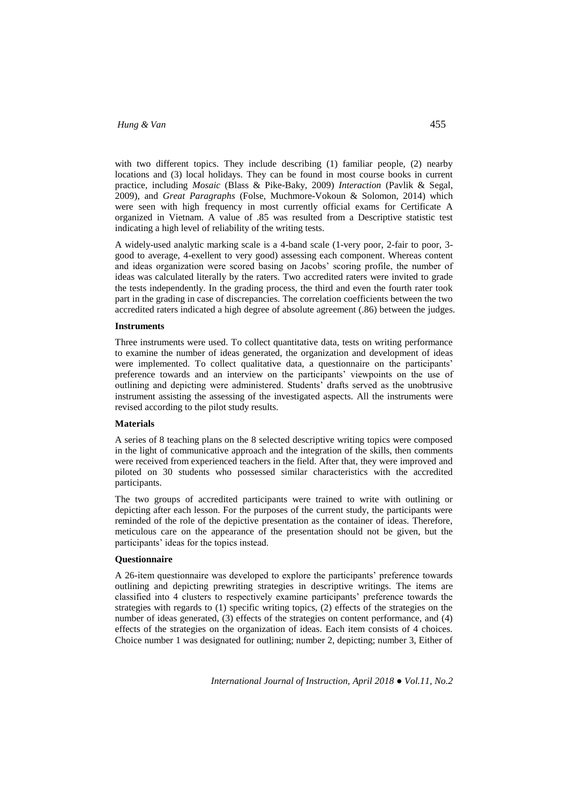with two different topics. They include describing (1) familiar people, (2) nearby locations and (3) local holidays. They can be found in most course books in current practice, including *Mosaic* (Blass & Pike-Baky*,* 2009) *Interaction* (Pavlik & Segal, 2009)*,* and *Great Paragraphs* (Folse, Muchmore-Vokoun & Solomon, 2014) which were seen with high frequency in most currently official exams for Certificate A organized in Vietnam. A value of .85 was resulted from a Descriptive statistic test indicating a high level of reliability of the writing tests.

A widely-used analytic marking scale is a 4-band scale (1-very poor, 2-fair to poor, 3 good to average, 4-exellent to very good) assessing each component. Whereas content and ideas organization were scored basing on Jacobs' scoring profile, the number of ideas was calculated literally by the raters. Two accredited raters were invited to grade the tests independently. In the grading process, the third and even the fourth rater took part in the grading in case of discrepancies. The correlation coefficients between the two accredited raters indicated a high degree of absolute agreement (.86) between the judges.

#### **Instruments**

Three instruments were used. To collect quantitative data, tests on writing performance to examine the number of ideas generated, the organization and development of ideas were implemented. To collect qualitative data, a questionnaire on the participants' preference towards and an interview on the participants' viewpoints on the use of outlining and depicting were administered. Students' drafts served as the unobtrusive instrument assisting the assessing of the investigated aspects. All the instruments were revised according to the pilot study results.

## **Materials**

A series of 8 teaching plans on the 8 selected descriptive writing topics were composed in the light of communicative approach and the integration of the skills, then comments were received from experienced teachers in the field. After that, they were improved and piloted on 30 students who possessed similar characteristics with the accredited participants.

The two groups of accredited participants were trained to write with outlining or depicting after each lesson. For the purposes of the current study, the participants were reminded of the role of the depictive presentation as the container of ideas. Therefore, meticulous care on the appearance of the presentation should not be given, but the participants' ideas for the topics instead.

### **Questionnaire**

A 26-item questionnaire was developed to explore the participants' preference towards outlining and depicting prewriting strategies in descriptive writings. The items are classified into 4 clusters to respectively examine participants' preference towards the strategies with regards to (1) specific writing topics, (2) effects of the strategies on the number of ideas generated, (3) effects of the strategies on content performance, and (4) effects of the strategies on the organization of ideas. Each item consists of 4 choices. Choice number 1 was designated for outlining; number 2, depicting; number 3, Either of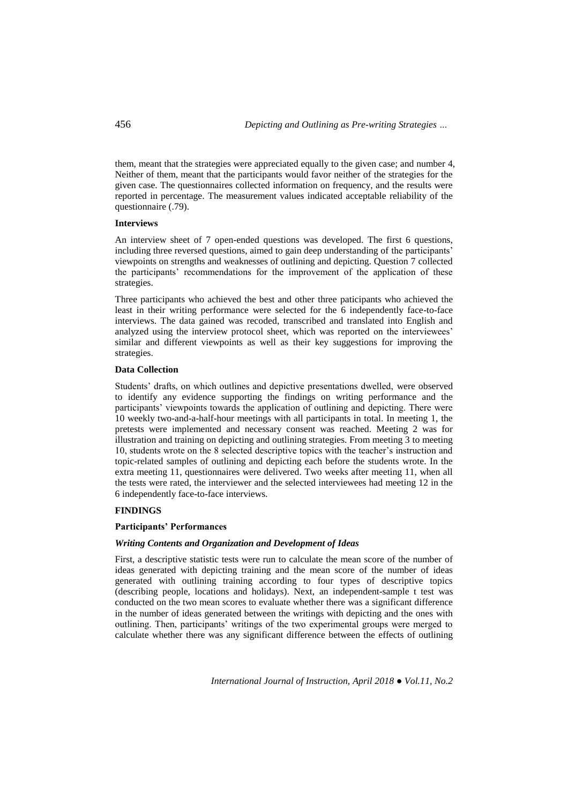them, meant that the strategies were appreciated equally to the given case; and number 4, Neither of them, meant that the participants would favor neither of the strategies for the given case. The questionnaires collected information on frequency, and the results were reported in percentage. The measurement values indicated acceptable reliability of the questionnaire (.79).

#### **Interviews**

An interview sheet of 7 open-ended questions was developed. The first 6 questions, including three reversed questions, aimed to gain deep understanding of the participants' viewpoints on strengths and weaknesses of outlining and depicting. Question 7 collected the participants' recommendations for the improvement of the application of these strategies.

Three participants who achieved the best and other three paticipants who achieved the least in their writing performance were selected for the 6 independently face-to-face interviews. The data gained was recoded, transcribed and translated into English and analyzed using the interview protocol sheet, which was reported on the interviewees' similar and different viewpoints as well as their key suggestions for improving the strategies.

## **Data Collection**

Students' drafts, on which outlines and depictive presentations dwelled, were observed to identify any evidence supporting the findings on writing performance and the participants' viewpoints towards the application of outlining and depicting. There were 10 weekly two-and-a-half-hour meetings with all participants in total. In meeting 1, the pretests were implemented and necessary consent was reached. Meeting 2 was for illustration and training on depicting and outlining strategies. From meeting 3 to meeting 10, students wrote on the 8 selected descriptive topics with the teacher's instruction and topic-related samples of outlining and depicting each before the students wrote. In the extra meeting 11, questionnaires were delivered. Two weeks after meeting 11, when all the tests were rated, the interviewer and the selected interviewees had meeting 12 in the 6 independently face-to-face interviews.

## **FINDINGS**

### **Participants' Performances**

### *Writing Contents and Organization and Development of Ideas*

First, a descriptive statistic tests were run to calculate the mean score of the number of ideas generated with depicting training and the mean score of the number of ideas generated with outlining training according to four types of descriptive topics (describing people, locations and holidays). Next, an independent-sample t test was conducted on the two mean scores to evaluate whether there was a significant difference in the number of ideas generated between the writings with depicting and the ones with outlining. Then, participants' writings of the two experimental groups were merged to calculate whether there was any significant difference between the effects of outlining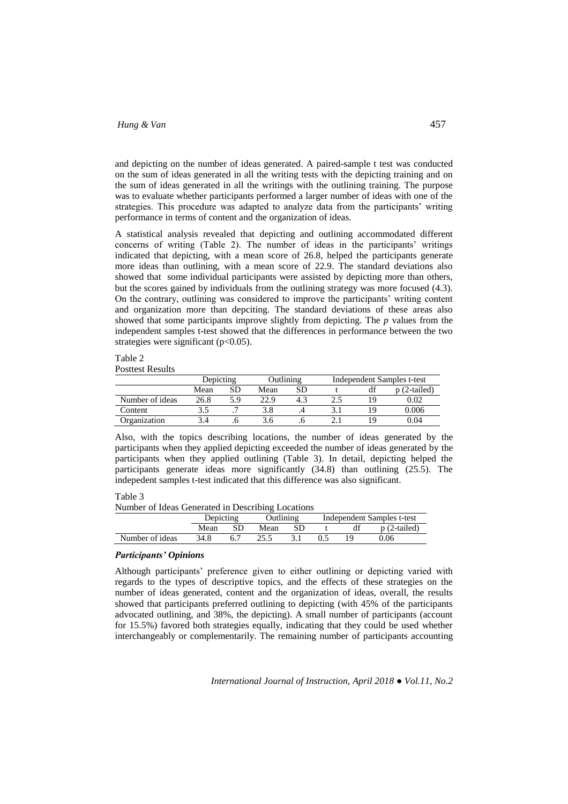and depicting on the number of ideas generated. A paired-sample t test was conducted on the sum of ideas generated in all the writing tests with the depicting training and on the sum of ideas generated in all the writings with the outlining training. The purpose was to evaluate whether participants performed a larger number of ideas with one of the strategies. This procedure was adapted to analyze data from the participants' writing performance in terms of content and the organization of ideas.

A statistical analysis revealed that depicting and outlining accommodated different concerns of writing (Table 2). The number of ideas in the participants' writings indicated that depicting, with a mean score of 26.8, helped the participants generate more ideas than outlining, with a mean score of 22.9. The standard deviations also showed that some individual participants were assisted by depicting more than others, but the scores gained by individuals from the outlining strategy was more focused (4.3). On the contrary, outlining was considered to improve the participants' writing content and organization more than depciting. The standard deviations of these areas also showed that some participants improve slightly from depicting. The *p* values from the independent samples t-test showed that the differences in performance between the two strategies were significant  $(p<0.05)$ .

#### Table 2 Posttest Results

|                 | Depicting |  | <b>Dutlining</b> |     | Independent Samples t-test |  |               |
|-----------------|-----------|--|------------------|-----|----------------------------|--|---------------|
|                 | Mean      |  | Mean             | SD  |                            |  | $p(2-tailed)$ |
| Number of ideas | 26.8      |  | 22.9             | -4. |                            |  |               |
| Content         |           |  |                  |     |                            |  | ን 006         |
| Organization    |           |  |                  |     |                            |  | 0.04          |

Also, with the topics describing locations, the number of ideas generated by the participants when they applied depicting exceeded the number of ideas generated by the participants when they applied outlining (Table 3). In detail, depicting helped the participants generate ideas more significantly (34.8) than outlining (25.5). The indepedent samples t-test indicated that this difference was also significant.

#### Table 3

Number of Ideas Generated in Describing Locations

|                 | Depicting |  | Outlining |  | Independent Samples t-test |  |               |
|-----------------|-----------|--|-----------|--|----------------------------|--|---------------|
|                 | Mean      |  | Mean      |  |                            |  | $p(2-tailed)$ |
| Number of ideas | 34.8      |  |           |  |                            |  | 0.06          |

## *Participants' Opinions*

Although participants' preference given to either outlining or depicting varied with regards to the types of descriptive topics, and the effects of these strategies on the number of ideas generated, content and the organization of ideas, overall, the results showed that participants preferred outlining to depicting (with 45% of the participants advocated outlining, and 38%, the depicting). A small number of participants (account for 15.5%) favored both strategies equally, indicating that they could be used whether interchangeably or complementarily. The remaining number of participants accounting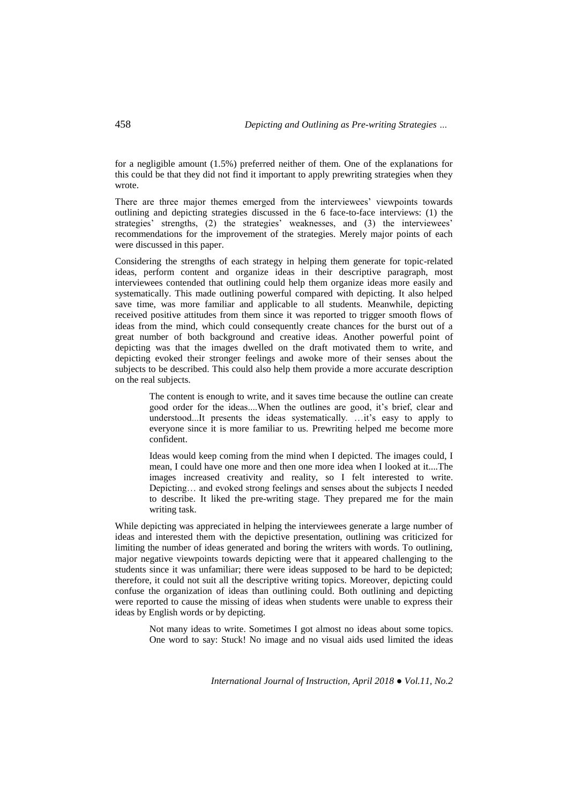for a negligible amount (1.5%) preferred neither of them. One of the explanations for this could be that they did not find it important to apply prewriting strategies when they wrote.

There are three major themes emerged from the interviewees' viewpoints towards outlining and depicting strategies discussed in the 6 face-to-face interviews: (1) the strategies' strengths, (2) the strategies' weaknesses, and (3) the interviewees' recommendations for the improvement of the strategies. Merely major points of each were discussed in this paper.

Considering the strengths of each strategy in helping them generate for topic-related ideas, perform content and organize ideas in their descriptive paragraph, most interviewees contended that outlining could help them organize ideas more easily and systematically. This made outlining powerful compared with depicting. It also helped save time, was more familiar and applicable to all students. Meanwhile, depicting received positive attitudes from them since it was reported to trigger smooth flows of ideas from the mind, which could consequently create chances for the burst out of a great number of both background and creative ideas. Another powerful point of depicting was that the images dwelled on the draft motivated them to write, and depicting evoked their stronger feelings and awoke more of their senses about the subjects to be described. This could also help them provide a more accurate description on the real subjects.

> The content is enough to write, and it saves time because the outline can create good order for the ideas....When the outlines are good, it's brief, clear and understood...It presents the ideas systematically. …it's easy to apply to everyone since it is more familiar to us. Prewriting helped me become more confident.

> Ideas would keep coming from the mind when I depicted. The images could, I mean, I could have one more and then one more idea when I looked at it....The images increased creativity and reality, so I felt interested to write. Depicting… and evoked strong feelings and senses about the subjects I needed to describe. It liked the pre-writing stage. They prepared me for the main writing task.

While depicting was appreciated in helping the interviewees generate a large number of ideas and interested them with the depictive presentation, outlining was criticized for limiting the number of ideas generated and boring the writers with words. To outlining, major negative viewpoints towards depicting were that it appeared challenging to the students since it was unfamiliar; there were ideas supposed to be hard to be depicted; therefore, it could not suit all the descriptive writing topics. Moreover, depicting could confuse the organization of ideas than outlining could. Both outlining and depicting were reported to cause the missing of ideas when students were unable to express their ideas by English words or by depicting.

> Not many ideas to write. Sometimes I got almost no ideas about some topics. One word to say: Stuck! No image and no visual aids used limited the ideas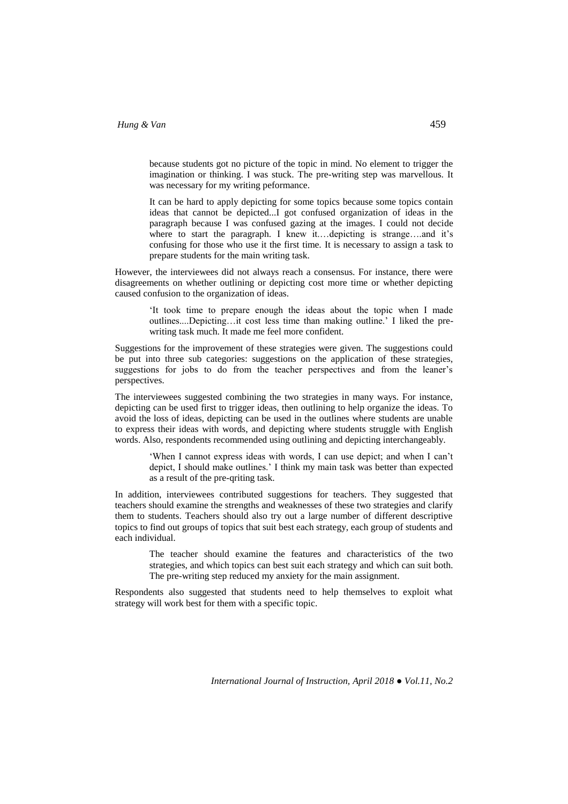because students got no picture of the topic in mind. No element to trigger the imagination or thinking. I was stuck. The pre-writing step was marvellous. It was necessary for my writing peformance.

It can be hard to apply depicting for some topics because some topics contain ideas that cannot be depicted...I got confused organization of ideas in the paragraph because I was confused gazing at the images. I could not decide where to start the paragraph. I knew it....depicting is strange....and it's confusing for those who use it the first time. It is necessary to assign a task to prepare students for the main writing task.

However, the interviewees did not always reach a consensus. For instance, there were disagreements on whether outlining or depicting cost more time or whether depicting caused confusion to the organization of ideas.

> 'It took time to prepare enough the ideas about the topic when I made outlines....Depicting…it cost less time than making outline.' I liked the prewriting task much. It made me feel more confident.

Suggestions for the improvement of these strategies were given. The suggestions could be put into three sub categories: suggestions on the application of these strategies, suggestions for jobs to do from the teacher perspectives and from the leaner's perspectives.

The interviewees suggested combining the two strategies in many ways. For instance, depicting can be used first to trigger ideas, then outlining to help organize the ideas. To avoid the loss of ideas, depicting can be used in the outlines where students are unable to express their ideas with words, and depicting where students struggle with English words. Also, respondents recommended using outlining and depicting interchangeably.

'When I cannot express ideas with words, I can use depict; and when I can't depict, I should make outlines.' I think my main task was better than expected as a result of the pre-qriting task.

In addition, interviewees contributed suggestions for teachers. They suggested that teachers should examine the strengths and weaknesses of these two strategies and clarify them to students. Teachers should also try out a large number of different descriptive topics to find out groups of topics that suit best each strategy, each group of students and each individual.

> The teacher should examine the features and characteristics of the two strategies, and which topics can best suit each strategy and which can suit both. The pre-writing step reduced my anxiety for the main assignment.

Respondents also suggested that students need to help themselves to exploit what strategy will work best for them with a specific topic.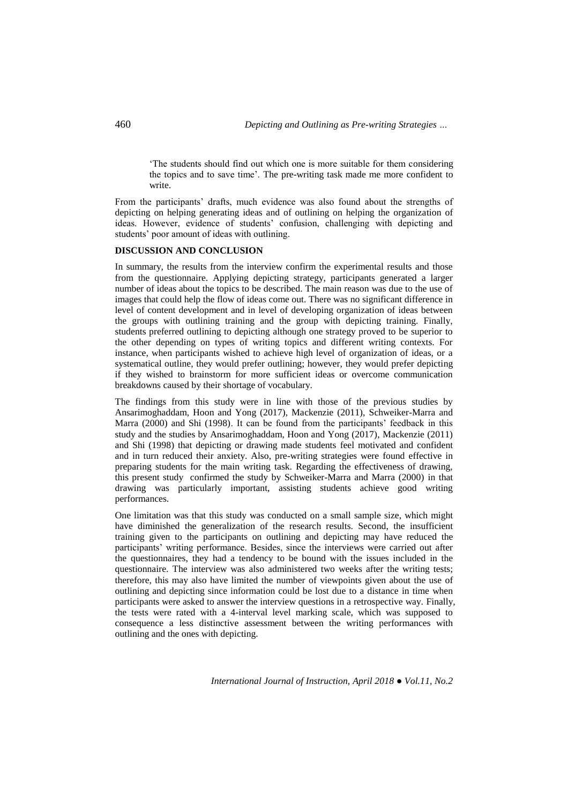'The students should find out which one is more suitable for them considering the topics and to save time'. The pre-writing task made me more confident to write.

From the participants' drafts, much evidence was also found about the strengths of depicting on helping generating ideas and of outlining on helping the organization of ideas. However, evidence of students' confusion, challenging with depicting and students' poor amount of ideas with outlining.

## **DISCUSSION AND CONCLUSION**

In summary, the results from the interview confirm the experimental results and those from the questionnaire. Applying depicting strategy, participants generated a larger number of ideas about the topics to be described. The main reason was due to the use of images that could help the flow of ideas come out. There was no significant difference in level of content development and in level of developing organization of ideas between the groups with outlining training and the group with depicting training. Finally, students preferred outlining to depicting although one strategy proved to be superior to the other depending on types of writing topics and different writing contexts. For instance, when participants wished to achieve high level of organization of ideas, or a systematical outline, they would prefer outlining; however, they would prefer depicting if they wished to brainstorm for more sufficient ideas or overcome communication breakdowns caused by their shortage of vocabulary.

The findings from this study were in line with those of the previous studies by Ansarimoghaddam, Hoon and Yong (2017), Mackenzie (2011), Schweiker-Marra and Marra (2000) and Shi (1998). It can be found from the participants' feedback in this study and the studies by Ansarimoghaddam, Hoon and Yong (2017), Mackenzie (2011) and Shi (1998) that depicting or drawing made students feel motivated and confident and in turn reduced their anxiety. Also, pre-writing strategies were found effective in preparing students for the main writing task. Regarding the effectiveness of drawing, this present study confirmed the study by Schweiker-Marra and Marra (2000) in that drawing was particularly important, assisting students achieve good writing performances.

One limitation was that this study was conducted on a small sample size, which might have diminished the generalization of the research results. Second, the insufficient training given to the participants on outlining and depicting may have reduced the participants' writing performance. Besides, since the interviews were carried out after the questionnaires, they had a tendency to be bound with the issues included in the questionnaire. The interview was also administered two weeks after the writing tests; therefore, this may also have limited the number of viewpoints given about the use of outlining and depicting since information could be lost due to a distance in time when participants were asked to answer the interview questions in a retrospective way. Finally, the tests were rated with a 4-interval level marking scale, which was supposed to consequence a less distinctive assessment between the writing performances with outlining and the ones with depicting.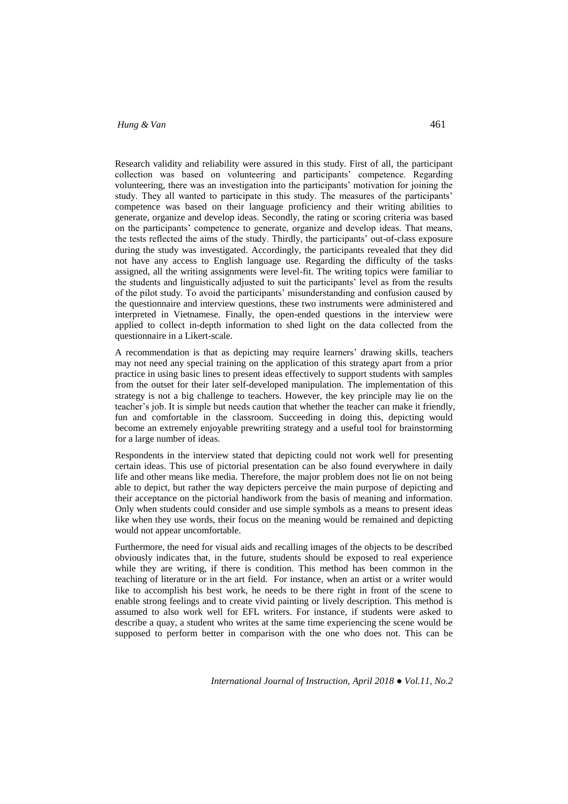Research validity and reliability were assured in this study. First of all, the participant collection was based on volunteering and participants' competence. Regarding volunteering, there was an investigation into the participants' motivation for joining the study. They all wanted to participate in this study. The measures of the participants' competence was based on their language proficiency and their writing abilities to generate, organize and develop ideas. Secondly, the rating or scoring criteria was based on the participants' competence to generate, organize and develop ideas. That means, the tests reflected the aims of the study. Thirdly, the participants' out-of-class exposure during the study was investigated. Accordingly, the participants revealed that they did not have any access to English language use. Regarding the difficulty of the tasks assigned, all the writing assignments were level-fit. The writing topics were familiar to the students and linguistically adjusted to suit the participants' level as from the results of the pilot study. To avoid the participants' misunderstanding and confusion caused by the questionnaire and interview questions, these two instruments were administered and interpreted in Vietnamese. Finally, the open-ended questions in the interview were applied to collect in-depth information to shed light on the data collected from the questionnaire in a Likert-scale.

A recommendation is that as depicting may require learners' drawing skills, teachers may not need any special training on the application of this strategy apart from a prior practice in using basic lines to present ideas effectively to support students with samples from the outset for their later self-developed manipulation. The implementation of this strategy is not a big challenge to teachers. However, the key principle may lie on the teacher's job. It is simple but needs caution that whether the teacher can make it friendly, fun and comfortable in the classroom. Succeeding in doing this, depicting would become an extremely enjoyable prewriting strategy and a useful tool for brainstorming for a large number of ideas.

Respondents in the interview stated that depicting could not work well for presenting certain ideas. This use of pictorial presentation can be also found everywhere in daily life and other means like media. Therefore, the major problem does not lie on not being able to depict, but rather the way depicters perceive the main purpose of depicting and their acceptance on the pictorial handiwork from the basis of meaning and information. Only when students could consider and use simple symbols as a means to present ideas like when they use words, their focus on the meaning would be remained and depicting would not appear uncomfortable.

Furthermore, the need for visual aids and recalling images of the objects to be described obviously indicates that, in the future, students should be exposed to real experience while they are writing, if there is condition. This method has been common in the teaching of literature or in the art field. For instance, when an artist or a writer would like to accomplish his best work, he needs to be there right in front of the scene to enable strong feelings and to create vivid painting or lively description. This method is assumed to also work well for EFL writers. For instance, if students were asked to describe a quay, a student who writes at the same time experiencing the scene would be supposed to perform better in comparison with the one who does not. This can be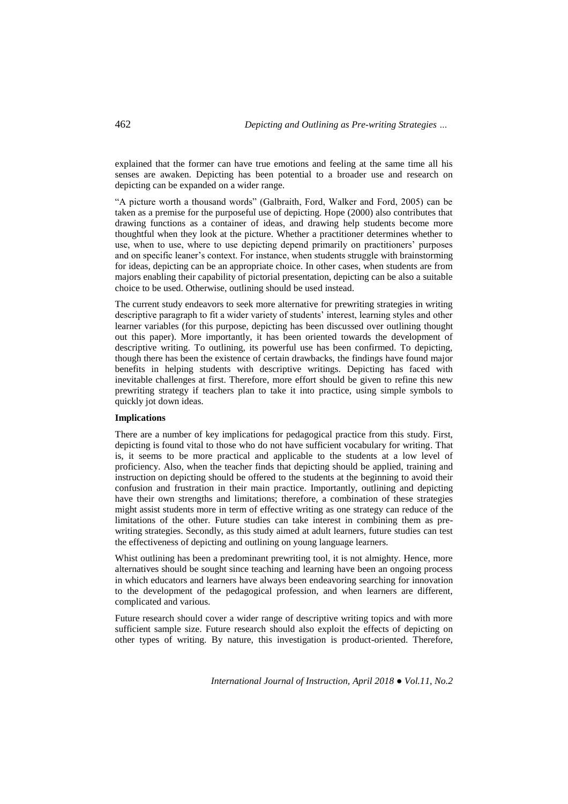explained that the former can have true emotions and feeling at the same time all his senses are awaken. Depicting has been potential to a broader use and research on depicting can be expanded on a wider range.

"A picture worth a thousand words" (Galbraith, Ford, Walker and Ford, 2005) can be taken as a premise for the purposeful use of depicting. Hope (2000) also contributes that drawing functions as a container of ideas, and drawing help students become more thoughtful when they look at the picture. Whether a practitioner determines whether to use, when to use, where to use depicting depend primarily on practitioners' purposes and on specific leaner's context. For instance, when students struggle with brainstorming for ideas, depicting can be an appropriate choice. In other cases, when students are from majors enabling their capability of pictorial presentation, depicting can be also a suitable choice to be used. Otherwise, outlining should be used instead.

The current study endeavors to seek more alternative for prewriting strategies in writing descriptive paragraph to fit a wider variety of students' interest, learning styles and other learner variables (for this purpose, depicting has been discussed over outlining thought out this paper). More importantly, it has been oriented towards the development of descriptive writing. To outlining, its powerful use has been confirmed. To depicting, though there has been the existence of certain drawbacks, the findings have found major benefits in helping students with descriptive writings. Depicting has faced with inevitable challenges at first. Therefore, more effort should be given to refine this new prewriting strategy if teachers plan to take it into practice, using simple symbols to quickly jot down ideas.

#### **Implications**

There are a number of key implications for pedagogical practice from this study. First, depicting is found vital to those who do not have sufficient vocabulary for writing. That is, it seems to be more practical and applicable to the students at a low level of proficiency. Also, when the teacher finds that depicting should be applied, training and instruction on depicting should be offered to the students at the beginning to avoid their confusion and frustration in their main practice. Importantly, outlining and depicting have their own strengths and limitations; therefore, a combination of these strategies might assist students more in term of effective writing as one strategy can reduce of the limitations of the other. Future studies can take interest in combining them as prewriting strategies. Secondly, as this study aimed at adult learners, future studies can test the effectiveness of depicting and outlining on young language learners.

Whist outlining has been a predominant prewriting tool, it is not almighty. Hence, more alternatives should be sought since teaching and learning have been an ongoing process in which educators and learners have always been endeavoring searching for innovation to the development of the pedagogical profession, and when learners are different, complicated and various.

Future research should cover a wider range of descriptive writing topics and with more sufficient sample size. Future research should also exploit the effects of depicting on other types of writing. By nature, this investigation is product-oriented. Therefore,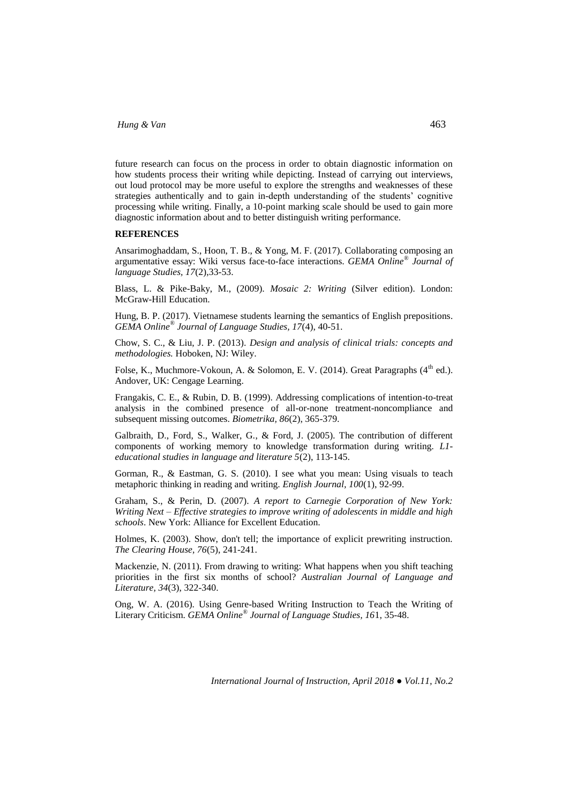future research can focus on the process in order to obtain diagnostic information on how students process their writing while depicting. Instead of carrying out interviews, out loud protocol may be more useful to explore the strengths and weaknesses of these strategies authentically and to gain in-depth understanding of the students' cognitive processing while writing. Finally, a 10-point marking scale should be used to gain more diagnostic information about and to better distinguish writing performance.

### **REFERENCES**

Ansarimoghaddam, S., Hoon, T. B., & Yong, M. F. (2017). Collaborating composing an argumentative essay: Wiki versus face-to-face interactions. *GEMA Online® Journal of language Studies, 17*(2),33-53.

Blass, L. & Pike-Baky, M., (2009). *Mosaic 2: Writing* (Silver edition). London: McGraw-Hill Education.

Hung, B. P. (2017). Vietnamese students learning the semantics of English prepositions. *GEMA Online® Journal of Language Studies, 17*(4), 40-51.

Chow, S. C., & Liu, J. P. (2013). *Design and analysis of clinical trials: concepts and methodologies.* Hoboken, NJ: Wiley.

Folse, K., Muchmore-Vokoun, A. & Solomon, E. V. (2014). Great Paragraphs (4<sup>th</sup> ed.). Andover, UK: Cengage Learning.

Frangakis, C. E., & Rubin, D. B. (1999). Addressing complications of intention-to-treat analysis in the combined presence of all-or-none treatment-noncompliance and subsequent missing outcomes. *Biometrika, 86*(2), 365-379.

Galbraith, D., Ford, S., Walker, G., & Ford, J. (2005). The contribution of different components of working memory to knowledge transformation during writing. *L1 educational studies in language and literature 5*(2), 113-145.

Gorman, R., & Eastman, G. S. (2010). I see what you mean: Using visuals to teach metaphoric thinking in reading and writing. *English Journal, 100*(1), 92-99.

Graham, S., & Perin, D. (2007). *A report to Carnegie Corporation of New York: Writing Next – Effective strategies to improve writing of adolescents in middle and high schools*. New York: Alliance for Excellent Education.

Holmes, K. (2003). Show, don't tell; the importance of explicit prewriting instruction. *The Clearing House, 76*(5), 241-241.

Mackenzie, N. (2011). From drawing to writing: What happens when you shift teaching priorities in the first six months of school? *Australian Journal of Language and Literature, 34*(3), 322-340.

Ong, W. A. (2016). Using Genre-based Writing Instruction to Teach the Writing of Literary Criticism. *GEMA Online ® Journal of Language Studies, 16*1, 35-48.